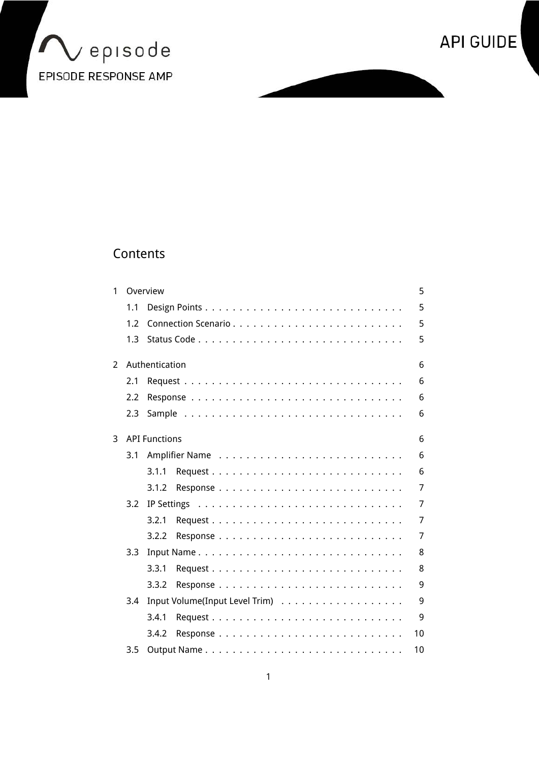



# Contents

| 1 |     | Overview             | 5              |
|---|-----|----------------------|----------------|
|   | 1.1 |                      | 5              |
|   | 1.2 |                      | 5              |
|   | 1.3 |                      | 5              |
| 2 |     | Authentication       | 6              |
|   | 2.1 |                      | 6              |
|   | 2.2 |                      | 6              |
|   | 2.3 |                      | 6              |
| 3 |     | <b>API Functions</b> | 6              |
|   | 3.1 |                      | 6              |
|   |     | 3.1.1                | 6              |
|   |     | 3.1.2                | 7              |
|   | 3.2 |                      | $\overline{7}$ |
|   |     | 3.2.1                | 7              |
|   |     | 3.2.2                | $\overline{7}$ |
|   | 3.3 |                      | 8              |
|   |     | 3.3.1                | 8              |
|   |     | 3.3.2                | 9              |
|   | 3.4 |                      | 9              |
|   |     | 3.4.1                | 9              |
|   |     | 3.4.2                | 10             |
|   | 3.5 |                      | 10             |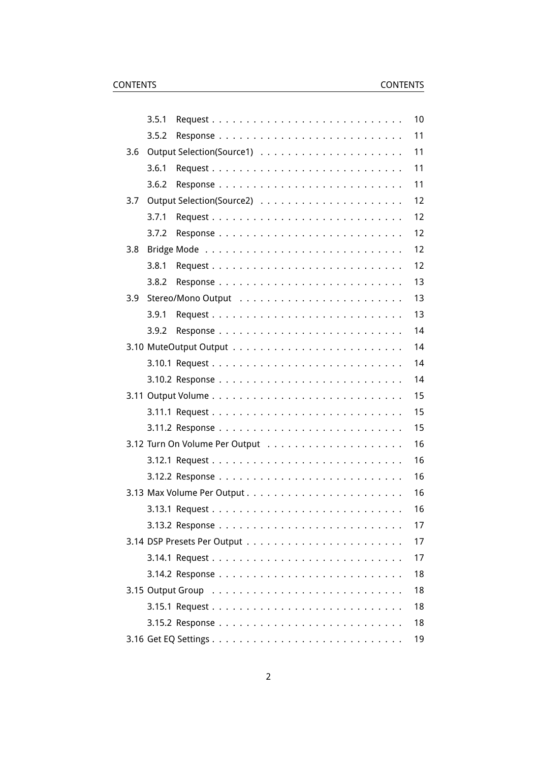|     | 3.5.1 | 10 |
|-----|-------|----|
|     | 3.5.2 | 11 |
| 3.6 |       | 11 |
|     | 3.6.1 | 11 |
|     | 3.6.2 | 11 |
| 3.7 |       | 12 |
|     | 3.7.1 | 12 |
|     | 3.7.2 | 12 |
| 3.8 |       | 12 |
|     | 3.8.1 | 12 |
|     | 3.8.2 | 13 |
| 3.9 |       | 13 |
|     | 3.9.1 | 13 |
|     | 3.9.2 | 14 |
|     |       | 14 |
|     |       | 14 |
|     |       | 14 |
|     |       | 15 |
|     |       | 15 |
|     |       | 15 |
|     |       | 16 |
|     |       | 16 |
|     |       | 16 |
|     |       | 16 |
|     |       | 16 |
|     |       | 17 |
|     |       | 17 |
|     |       | 17 |
|     |       | 18 |
|     |       | 18 |
|     |       | 18 |
|     |       | 18 |
|     |       | 19 |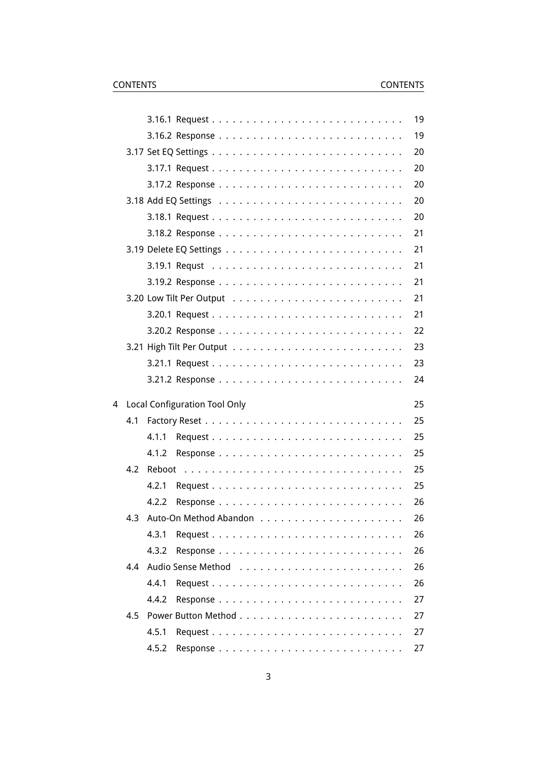|   |     |                                      | 19 |
|---|-----|--------------------------------------|----|
|   |     |                                      | 19 |
|   |     |                                      | 20 |
|   |     |                                      | 20 |
|   |     |                                      | 20 |
|   |     |                                      | 20 |
|   |     |                                      | 20 |
|   |     |                                      | 21 |
|   |     |                                      | 21 |
|   |     |                                      | 21 |
|   |     |                                      | 21 |
|   |     |                                      | 21 |
|   |     |                                      | 21 |
|   |     |                                      | 22 |
|   |     |                                      | 23 |
|   |     |                                      | 23 |
|   |     |                                      | 24 |
| 4 |     | <b>Local Configuration Tool Only</b> | 25 |
|   | 4.1 |                                      | 25 |
|   |     | 4.1.1                                | 25 |
|   |     | 4.1.2                                | 25 |
|   | 4.2 |                                      | 25 |
|   |     | 4.2.1                                | 25 |
|   |     | 4.2.2                                | 26 |
|   |     | 4.3 Auto-On Method Abandon           | 26 |
|   |     | 4.3.1                                | 26 |
|   |     | 4.3.2                                | 26 |
|   | 4.4 |                                      | 26 |
|   |     | 4.4.1                                | 26 |
|   |     | 4.4.2                                | 27 |
|   | 4.5 |                                      | 27 |
|   |     |                                      | 27 |
|   |     | 4.5.1                                |    |
|   |     | 4.5.2                                | 27 |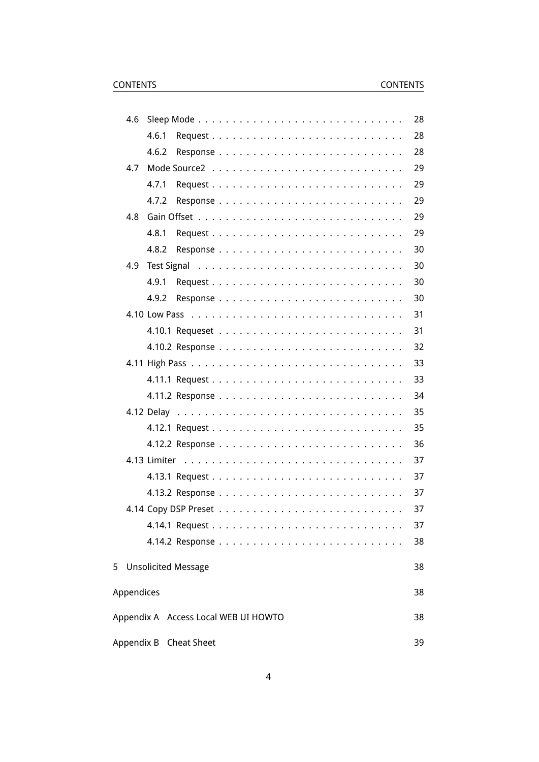| 4.6        |       |                                      |  |  |  |  |  |  |  |  |  |  | 28 |
|------------|-------|--------------------------------------|--|--|--|--|--|--|--|--|--|--|----|
|            | 4.6.1 |                                      |  |  |  |  |  |  |  |  |  |  | 28 |
|            | 4.6.2 |                                      |  |  |  |  |  |  |  |  |  |  | 28 |
| 4.7        |       |                                      |  |  |  |  |  |  |  |  |  |  | 29 |
|            | 4.7.1 |                                      |  |  |  |  |  |  |  |  |  |  | 29 |
|            | 4.7.2 |                                      |  |  |  |  |  |  |  |  |  |  | 29 |
| 4.8        |       |                                      |  |  |  |  |  |  |  |  |  |  | 29 |
|            | 4.8.1 |                                      |  |  |  |  |  |  |  |  |  |  | 29 |
|            | 4.8.2 |                                      |  |  |  |  |  |  |  |  |  |  | 30 |
| 4.9        |       |                                      |  |  |  |  |  |  |  |  |  |  | 30 |
|            | 4.9.1 |                                      |  |  |  |  |  |  |  |  |  |  | 30 |
|            | 4.9.2 |                                      |  |  |  |  |  |  |  |  |  |  | 30 |
|            |       |                                      |  |  |  |  |  |  |  |  |  |  | 31 |
|            |       |                                      |  |  |  |  |  |  |  |  |  |  | 31 |
|            |       |                                      |  |  |  |  |  |  |  |  |  |  | 32 |
|            |       |                                      |  |  |  |  |  |  |  |  |  |  | 33 |
|            |       |                                      |  |  |  |  |  |  |  |  |  |  | 33 |
|            |       |                                      |  |  |  |  |  |  |  |  |  |  | 34 |
|            |       |                                      |  |  |  |  |  |  |  |  |  |  | 35 |
|            |       |                                      |  |  |  |  |  |  |  |  |  |  | 35 |
|            |       |                                      |  |  |  |  |  |  |  |  |  |  | 36 |
|            |       |                                      |  |  |  |  |  |  |  |  |  |  | 37 |
|            |       |                                      |  |  |  |  |  |  |  |  |  |  | 37 |
|            |       |                                      |  |  |  |  |  |  |  |  |  |  | 37 |
|            |       |                                      |  |  |  |  |  |  |  |  |  |  | 37 |
|            |       |                                      |  |  |  |  |  |  |  |  |  |  | 37 |
|            |       |                                      |  |  |  |  |  |  |  |  |  |  | 38 |
|            |       | 5 Unsolicited Message                |  |  |  |  |  |  |  |  |  |  | 38 |
| Appendices |       |                                      |  |  |  |  |  |  |  |  |  |  | 38 |
|            |       | Appendix A Access Local WEB UI HOWTO |  |  |  |  |  |  |  |  |  |  | 38 |
|            |       | Appendix B Cheat Sheet               |  |  |  |  |  |  |  |  |  |  | 39 |
|            |       |                                      |  |  |  |  |  |  |  |  |  |  |    |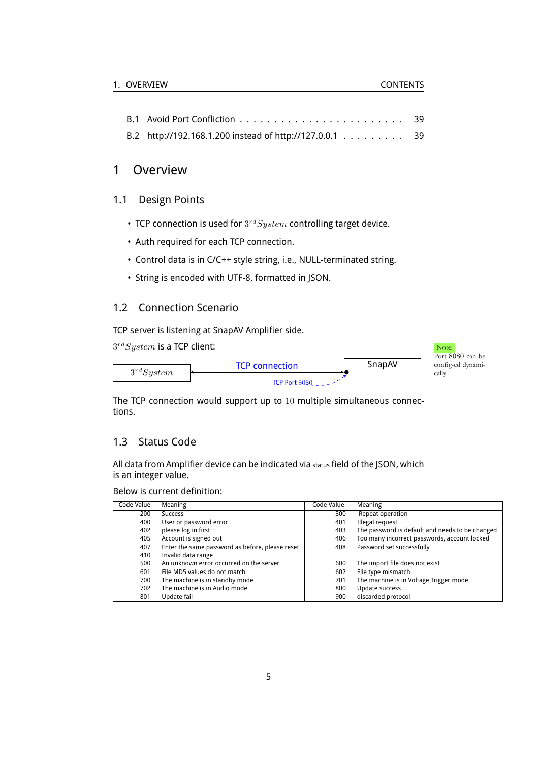|                                                         | -39 |
|---------------------------------------------------------|-----|
| B.2 http://192.168.1.200 instead of http://127.0.0.1 39 |     |

### <span id="page-4-0"></span>1 Overview

### <span id="page-4-1"></span>1.1 Design Points

- TCP connection is used for 3 *rdSystem* controlling target device.
- Auth required for each TCP connection.
- Control data is in C/C++ style string, i.e., NULL-terminated string.
- String is encoded with UTF-8, formatted in JSON.

### <span id="page-4-2"></span>1.2 Connection Scenario

TCP server is listening at SnapAV Amplifier side.

 $3^{rd} System$  is a TCP client:  $N$ 



The TCP connection would support up to 10 multiple simultaneous connections.

### <span id="page-4-3"></span>1.3 Status Code

All data from Amplifier device can be indicated via status field of the JSON, which is an integer value.

Below is current definition:

| Code Value | Meaning                                         | Code Value | Meaning                                         |
|------------|-------------------------------------------------|------------|-------------------------------------------------|
| 200        | <b>Success</b>                                  | 300        | Repeat operation                                |
| 400        | User or password error                          | 401        | Illegal request                                 |
| 402        | please log in first                             | 403        | The password is default and needs to be changed |
| 405        | Account is signed out                           | 406        | Too many incorrect passwords, account locked    |
| 407        | Enter the same password as before, please reset | 408        | Password set successfully                       |
| 410        | Invalid data range                              |            |                                                 |
| 500        | An unknown error occurred on the server         | 600        | The import file does not exist                  |
| 601        | File MD5 values do not match                    | 602        | File type mismatch                              |
| 700        | The machine is in standby mode                  | 701        | The machine is in Voltage Trigger mode          |
| 702        | The machine is in Audio mode                    | 800        | Update success                                  |
| 801        | Update fail                                     | 900        | discarded protocol                              |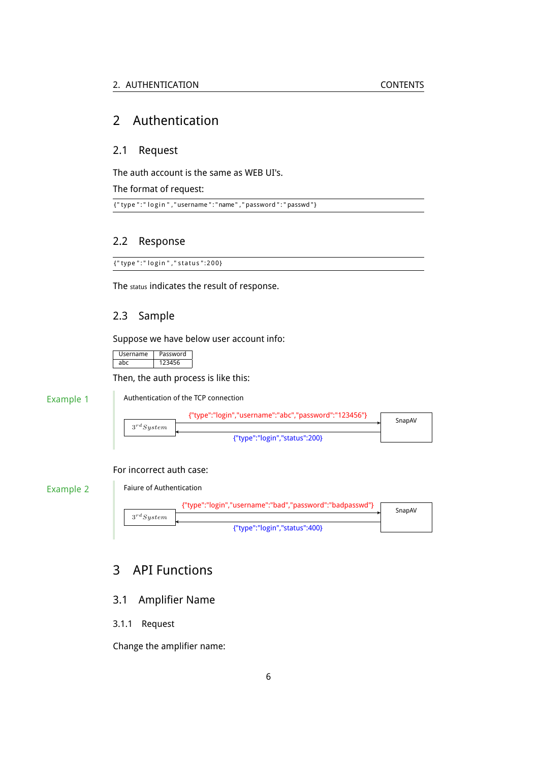### <span id="page-5-0"></span>2 Authentication

### <span id="page-5-1"></span>2.1 Request

The auth account is the same as WEB UI's.

The format of request:

 $\overline{\{$  " type ":" login ", " username ": " name", " password ": " passwd "}

### <span id="page-5-2"></span>2.2 Response

{"type":" login"," status":200}

The status indicates the result of response.

### <span id="page-5-3"></span>2.3 Sample

Suppose we have below user account info:

| Username | Password |
|----------|----------|
| ahr      |          |

Then, the auth process is like this:

Example 1

Authentication of the TCP connection



#### For incorrect auth case:

Example 2

Faiure of Authentication



## <span id="page-5-4"></span>3 API Functions

### <span id="page-5-5"></span>3.1 Amplifier Name

<span id="page-5-6"></span>3.1.1 Request

Change the amplifier name: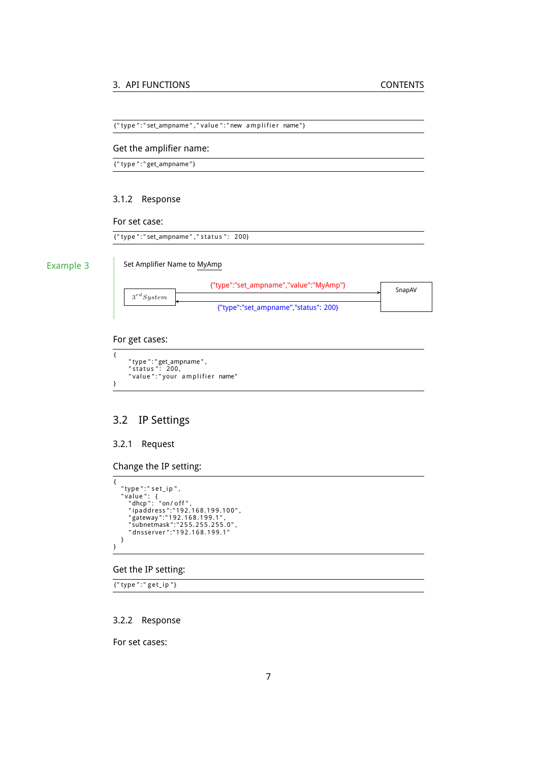{"type":"set\_ampname","value":"new amplifier name"}

#### Get the amplifier name:

{ " type " : " get\_ampname " }

#### <span id="page-6-0"></span>3.1.2 Response

#### For set case:

{"type":"set\_ampname","status": 200}

#### Example 3

#### Set Amplifier Name to MyAmp



#### For get cases:

```
{
           "type":"get_ampname",<br>"status": 200,<br>"value":"your amplifier name"
}
```
### <span id="page-6-1"></span>3.2 IP Settings

### <span id="page-6-2"></span>3.2.1 Request

Change the IP setting:

```
{
            "type ":" set_ip ",<br>"value ": {<br>"lahcp": "on/off",<br>"paddress":"192.168.199.100",<br>"gateway":"192.168.199.1",<br>"subnetmask":"255.255.255.0",<br>"dnsserver":"192.168.199.1"
         }
}
```
#### Get the IP setting:

{"type":"get\_ip"}

#### <span id="page-6-3"></span>3.2.2 Response

For set cases: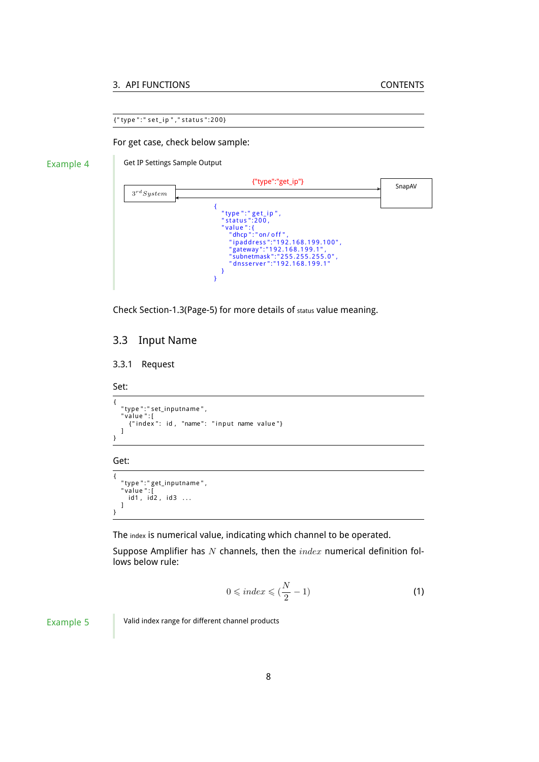#### 3. API FUNCTIONS CONTENTS

{ " type " : " s e t \_ i p " , " s t a t u s ": 2 0 0 }

For get case, check below sample:

### Example 4

Get IP Settings Sample Output



Check Section[-1.3\(](#page-4-3)Page[-5\)](#page-4-3) for more details of status value meaning.

### <span id="page-7-0"></span>3.3 Input Name

#### <span id="page-7-1"></span>3.3.1 Request

Set:

{ "type":"set\_inputname",<br>"value":[<br>{"index": id, "name": "input name value"} ] }

Get:

{ "type ":" get\_inputname " ,<br>"value ":[ id1, id2, id3 ... ] }

The index is numerical value, indicating which channel to be operated.

Suppose Amplifier has *N* channels, then the *index* numerical definition follows below rule:

<span id="page-7-2"></span>
$$
0 \leqslant index \leqslant (\frac{N}{2} - 1) \tag{1}
$$

Example 5 Valid index range for different channel products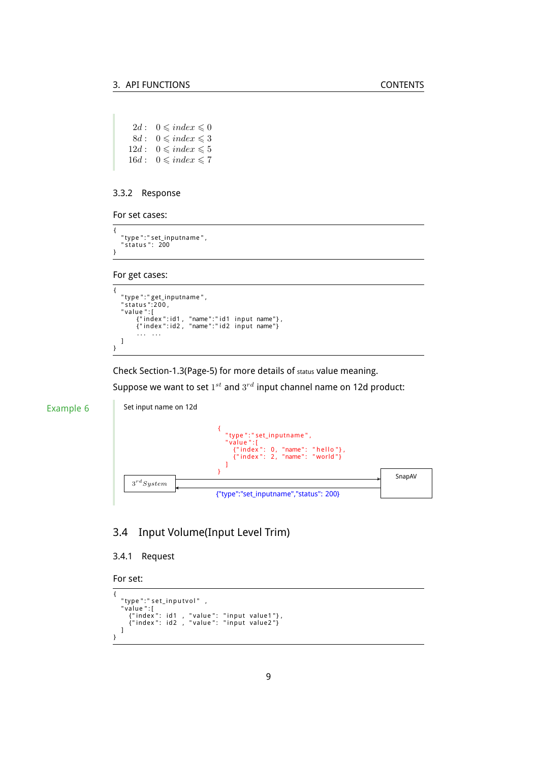```
2d: 0 \leqslant index \leqslant 08d: 0 \leq index \leq 312d: 0 \leqslant index \leqslant 516d: 0 \leqslant index \leqslant 7
```
#### <span id="page-8-0"></span>3.3.2 Response

For set cases:

```
{
    "type ":" set_inputname " ,<br>" status ":   200
}
```
For get cases:

```
{
     "type ":" get_inputname " ,<br>" status ":200 ,<br>" value " : [
              {"index":id1 , "name":"id1 input name"},<br>{"index":id2 , "name":"id2 input name"}
              . . . . . .
    ]
}
```
Check Section[-1.3\(](#page-4-3)Page[-5\)](#page-4-3) for more details of status value meaning.

Suppose we want to set  $1^{st}$  and  $3^{rd}$  input channel name on 12d product:



### <span id="page-8-1"></span>3.4 Input Volume(Input Level Trim)

#### <span id="page-8-2"></span>3.4.1 Request

```
For set:
```

```
{
       "type":"set_inputvol" ,<br>"value":[<br>{"index": id1 , "value": "input value1"},<br>{"index": id2 , "value": "input value2"}
    ]
}
```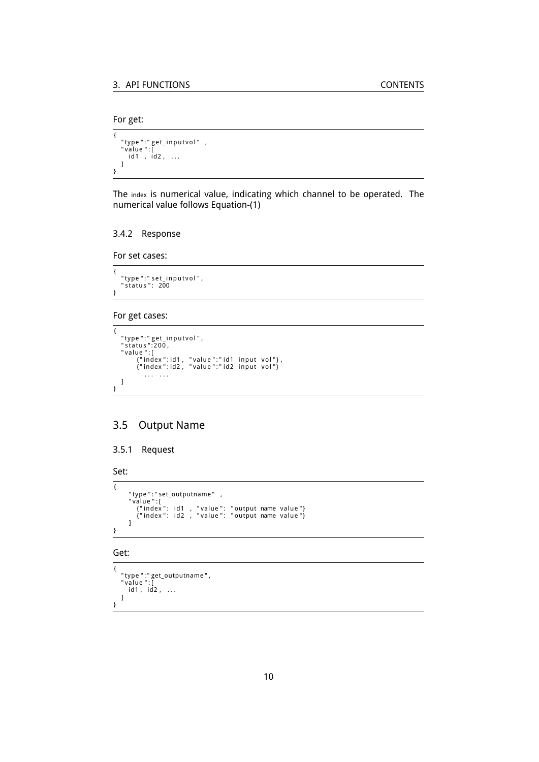```
For get:
```

```
\overline{\mathcal{L}}"type":"get_inputvol" ,<br>"value":[<br>| id1 , id2 , ...
      ]
}
```
The index is numerical value, indicating which channel to be operated. The numerical value follows Equation-[\(1\)](#page-7-2)

#### <span id="page-9-0"></span>3.4.2 Response

For set cases:

```
{
    "type":" set_inputvol",<br>"status": 200
}
```
#### For get cases:

```
{
     "type ":" get_inputvol " ,<br>" status ":200 ,<br>" value ":[
              {"index":id1 , "value":"id1 input vol"},<br>{"index":id2 , "value":"id2 input vol"}
                  . . . . . .
   ]
}
```
### <span id="page-9-1"></span>3.5 Output Name

```
3.5.1 Request
```

```
Set:
```

```
{
            "type":"set_outputname" ,<br>"value":[<br>{"index": id1 , "value": "output name value"}<br>{"index": id2 , "value": "output name value"}
          ]
}
```
Get:

```
{
     "type":"get_outputname",<br>"value":[<br>| id1, id2, ...
    \, \, \,}
```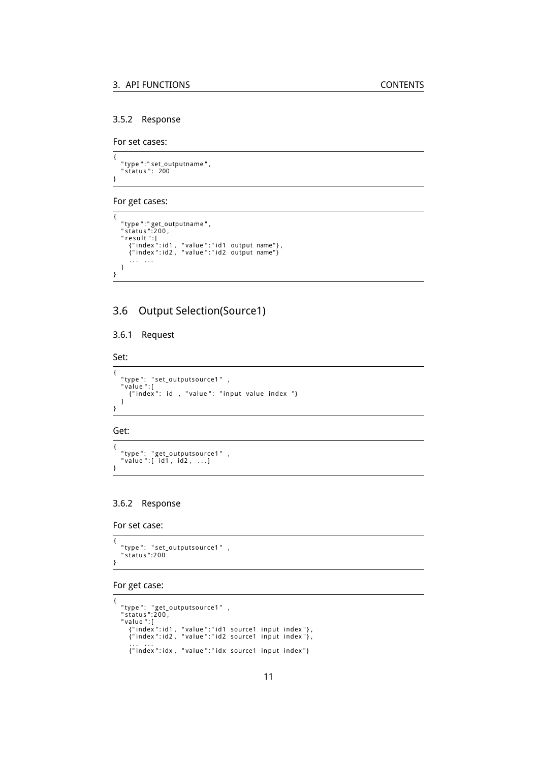#### <span id="page-10-0"></span>3.5.2 Response

For set cases:

```
{
    "type ":" set_outputname " ,<br>" status ":   200
}
```
### For get cases:

```
{
       "type":"get_outputname",<br>"status":200,<br>"result":[<br>{"index":id1, "value":"id1 output name"},<br>{"index":id2, "value":"id2 output name"}
            . . . . . .
    ]
}
```
### <span id="page-10-1"></span>3.6 Output Selection(Source1)

#### <span id="page-10-2"></span>3.6.1 Request

Set:

```
{
    "type": "set_outputsource1" ,<br>"value":[<br>{"index": id , "value": "input value index "}
    ]
}
```
#### Get:

```
{
    "type": "get_outputsource1" ,<br>"value":[ id1, id2, ...]
}
```
### <span id="page-10-3"></span>3.6.2 Response

For set case:

```
{
   "type": "set_outputsource1" ,<br>"status":200
}
```
#### For get case:

```
{
     "type": "get_outputsource1" ,<br>"status":200,<br>"value":[<br>{"index":id1, "value":"id1 source1 input index"},<br>{"index":id2, "value":"id2 source1 input index"},<br>... ...
         :......<br>{"index":idx, "value":"idx source1 input index"}
```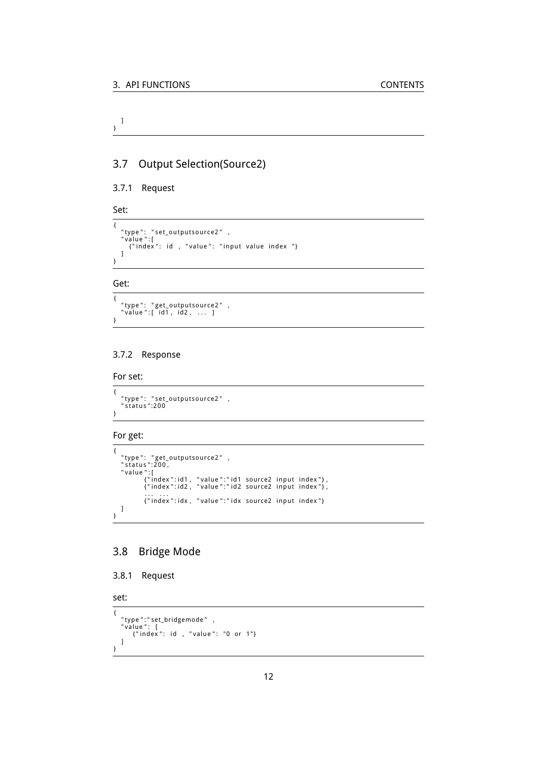#### ] }

### <span id="page-11-0"></span>3.7 Output Selection(Source2)

#### <span id="page-11-1"></span>3.7.1 Request

Set:

```
{
     "type": "set_outputsource2" ,<br>"value":[<br>{"index": id , "value": "input value index "}<br>]
}
```
### Get:

```
{
    "type": "get_outputsource2" ,<br>"value":[ id1, id2, ... ]
}
```
#### <span id="page-11-2"></span>3.7.2 Response

```
For set:
```

```
{
   "type": "set_outputsource2" ,<br>"status":200
}
```
#### For get:

```
{
     "type": "get_outputsource2" ,<br>"status":200,<br>"value":[<br>{"index":id1, "value":"id1 source2 input index"},<br>{"index":id2, "value":"id2 source2 input index"},<br>... ...
                  ... ...<br>{"index":idx, "value":"idx source2 input index"}
    \, \, \,}
```
### <span id="page-11-3"></span>3.8 Bridge Mode

```
3.8.1 Request
```
set:

```
{
     "type":"set_bridgemode" ,<br>"value": [<br>{"index": id , "value": "0 or 1"}
    ]
}
```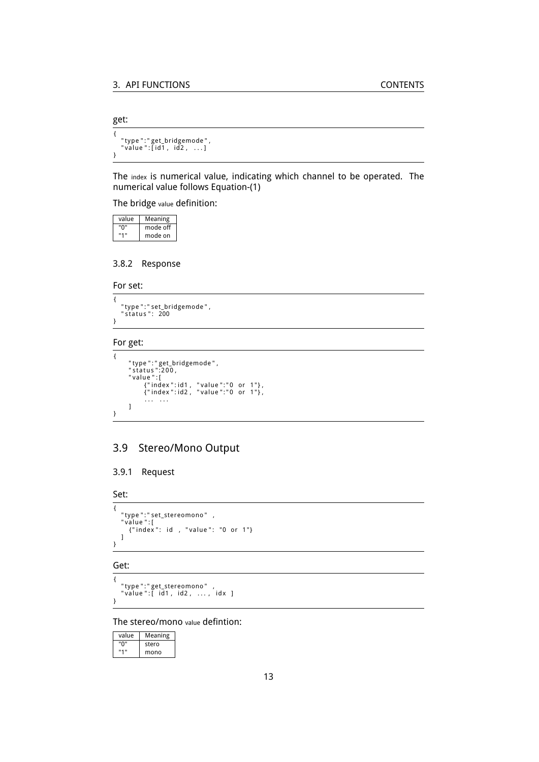get:

{ "type ":"get\_bridgemode",<br>"value ":[id1 , id2 , ...] }

The index is numerical value, indicating which channel to be operated. The numerical value follows Equation-[\(1\)](#page-7-2)

The bridge value definition:

| value | Meaning  |
|-------|----------|
| "በ"   | mode off |
| "1"   | mode on  |

#### <span id="page-12-0"></span>3.8.2 Response

For set:

{ "type ":" set\_bridgemode " ,<br>" status ": 200 }

#### For get:

```
{
           "type ":"get_bridgemode " ,<br>" status ":200 ,<br>" value " :[
                      { " index " : id1 , " value " : " 0 or 1 " } ,
{ " index " : id2 , " value " : " 0 or 1 " } ,
                     . . . . . .
         ]
}
```
### <span id="page-12-1"></span>3.9 Stereo/Mono Output

#### <span id="page-12-2"></span>3.9.1 Request

Set:

```
{
     "type":"set_stereomono" ,<br>"value":[<br>{"index": id , "value": "0 or 1"}
    \, \, \,}
```
#### Get:

{ "type":"get\_stereomono" ,<br>"value":[ id1, id2, ..., idx ] }

#### The stereo/mono value defintion:

| value | Meaning |
|-------|---------|
| "ח"   | stero   |
| "1"   | mono    |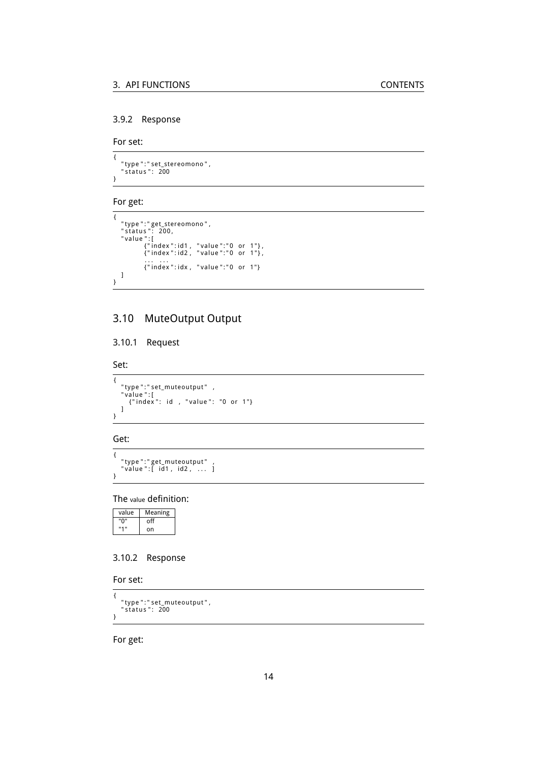### <span id="page-13-0"></span>3.9.2 Response

For set:

```
{
    "type ":" set_stereomono " ,<br>" status ":   200
}
```
#### For get:

```
\overline{\mathcal{L}}"type":"get_stereomono",<br>"status": 200,<br>"value":[<br>{"index":id1, "value":"0 or 1"},<br>{"index":id2, "value":"0 or 1"},
                       ... ...<br>{"index":idx, "value":"0 or 1"}
    \, \, \,}
```
## <span id="page-13-1"></span>3.10 MuteOutput Output

#### <span id="page-13-2"></span>3.10.1 Request

Set:

```
{
    "type":"set_muteoutput" ,<br>"value":[<br>{"index": id , "value": "0 or 1"}
   ]
}
```
#### Get:

{ "type":"get\_muteoutput" ,<br>"value":[ id1, id2, ... ] }

#### The value definition:

| value | Meaning |
|-------|---------|
| "በ"   | off     |
| "1"   | on      |

### <span id="page-13-3"></span>3.10.2 Response

For set:

```
{
    "type ":" set_muteoutput " ,<br>" status ":   200
}
```
For get: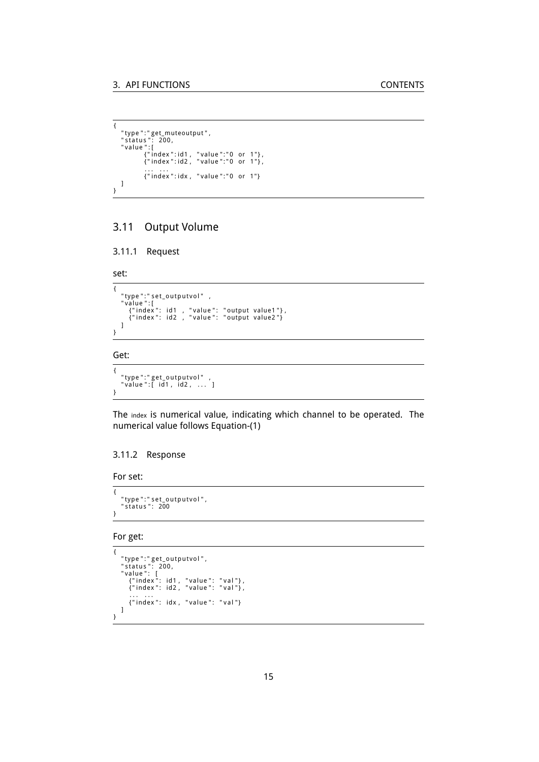```
{
      "type":"get_muteoutput",<br>"status": 200,<br>"value":[<br>{"index":id1, "value":"0 or 1"},<br>{"index":id2, "value":"0 or 1"},<br>... ...
                    ... ...<br>{"index":idx, "value":"0 or 1"}
    ]
}
```
### <span id="page-14-0"></span>3.11 Output Volume

```
3.11.1 Request
```
#### set:

```
{
       "type":"set_outputvol" ,<br>"value":[<br>{"index": id1 , "value": "output value1"},<br>{"index": id2 , "value": "output value2"}
     ]
}
```
#### Get:

{ "type":"get\_outputvol" ,<br>"value":[ id1, id2, ... ] }

The index is numerical value, indicating which channel to be operated. The numerical value follows Equation-[\(1\)](#page-7-2)

#### <span id="page-14-2"></span>3.11.2 Response

For set:

```
{
    "type":" set_outputvol" ,<br>"status ":  200
}
```

```
For get:
```

```
{
      " type ":" get_outputvol",<br>"status ": 200,<br>"value ": [<br>{"index ": id1, "value": "val"},<br>{"index": id2, "value": "val"},<br>... ...
          {"index": idx, "value": "val"}
    ]
}
```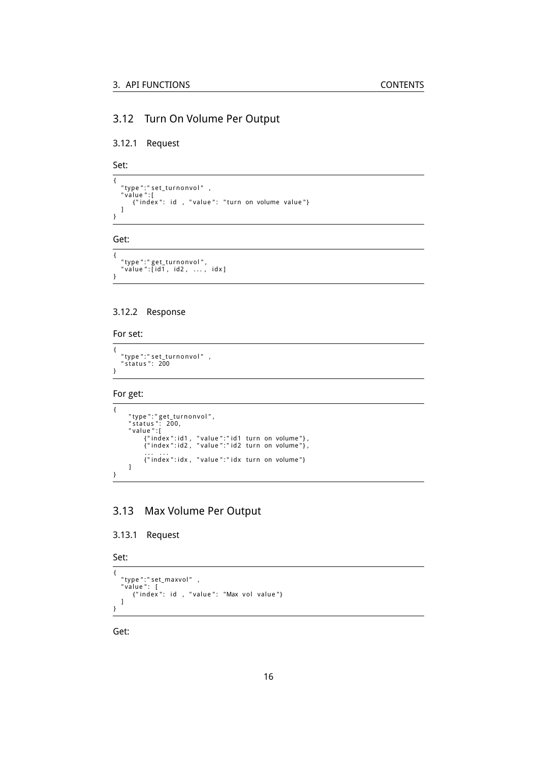### <span id="page-15-0"></span>3.12 Turn On Volume Per Output

### <span id="page-15-1"></span>3.12.1 Request

Set:

```
{
   "type ":" set_turnonvol"   ,<br>"value ":[
      diuc ..<br>{"index": id , "value": "turn on volume value"}
  ]
}
```
#### Get:

```
{
    "type":"get_turnonvol",<br>"value":[id1, id2, ..., idx]
}
```
#### <span id="page-15-2"></span>3.12.2 Response

For set:

```
{
    "type":"set_turnonvol" ,<br>"status": 200
}
```
For get:

```
{
          "type":"get_turnonvol",<br>"status": 200,<br>"value":[ 200,<br>{"index":id1 , "value":"id1 turn on volume"},<br>{"index":id2 , "value":"id2 turn on volume"},
                   ... ...<br>{"index":idx, "value":"idx turn on volume"}
        \, \, \,}
```
### <span id="page-15-3"></span>3.13 Max Volume Per Output

#### <span id="page-15-4"></span>3.13.1 Request

```
Set:
```

```
{
    "type":"set_maxvol" ,<br>"value": [<br>{"index": id , "value": "Max vol value"}
   ]
}
```
Get: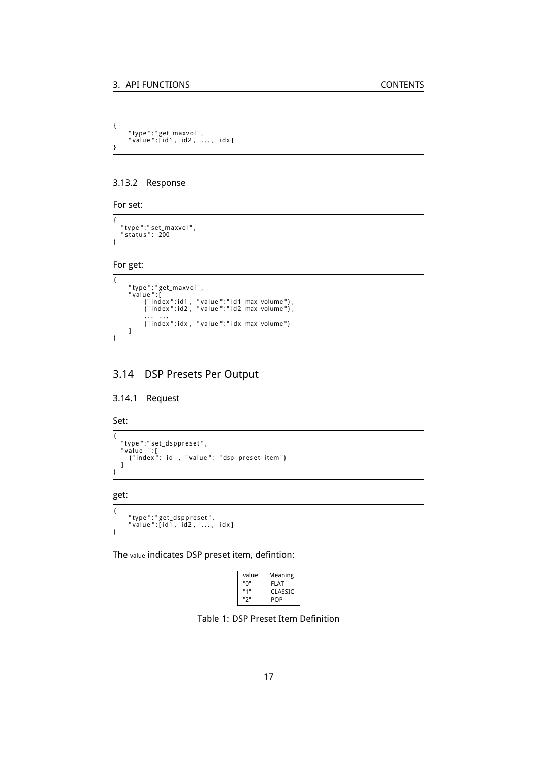```
{
        "type":"get_maxvol",<br>"value":[id1, id2, ..., idx]
}
```
#### <span id="page-16-0"></span>3.13.2 Response

For set:

```
{
     "type ":" set_maxvol " ,<br>" status ":   200
}
```
For get:

```
\overline{\mathcal{L}}"type":"get_maxvol",<br>"value":[<br>{"index":id1, "value":"id1 max volume"},<br>{"index":id2, "value":"id2 max volume"},
                   ... ...<br>{"index":idx, "value":"idx max volume"}
        \, \, \,}
```
### <span id="page-16-1"></span>3.14 DSP Presets Per Output

#### <span id="page-16-2"></span>3.14.1 Request

Set:

```
{
    "type":"set_dsppreset",<br>"value ":[<br>{"index": id , "value": "dsp preset item"}
   ]
}
```
#### get:

 $\overline{\mathcal{L}}$ "type":"get\_dsppreset",<br>"value":[id1, id2, ..., idx] }

The value indicates DSP preset item, defintion:

| value | Meaning |
|-------|---------|
| "በ"   | FLAT    |
| "1"   | CLASSIC |
| "יכ   | POP     |

<span id="page-16-3"></span>Table 1: DSP Preset Item Definition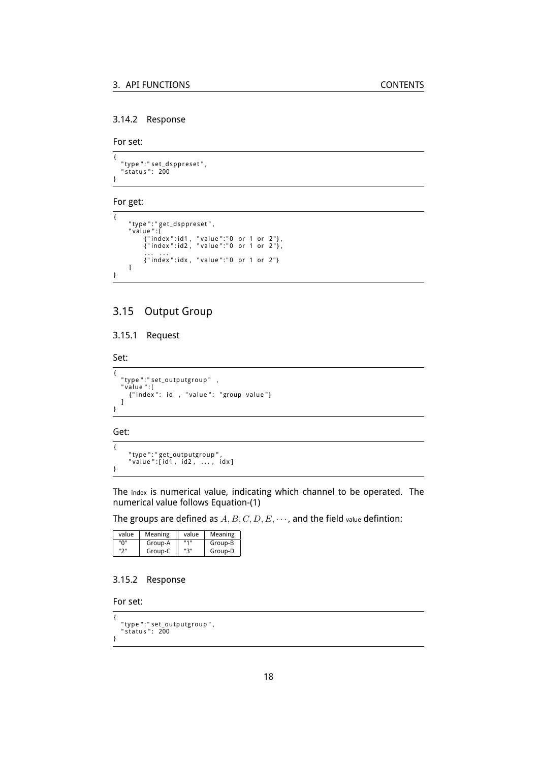#### <span id="page-17-0"></span>3.14.2 Response

For set:

```
{
    "type ":" set_dsppreset" ,<br>"status ":  200
}
```
### For get:

```
{
        "type ":"get_dsppreset",<br>"value ":[
                { " index " : id1 , " value " : " 0 or 1 or 2 " } ,
{ " index " : id2 , " value " : " 0 or 1 or 2 " } ,
                ... ...<br>{"index":idx, "value":"0 or 1 or 2"}
       ]
}
```
### <span id="page-17-1"></span>3.15 Output Group

#### <span id="page-17-2"></span>3.15.1 Request

Set:

{ "type":"set\_outputgroup" ,<br>"value":[<br>{"index": id , "value": "group value"}  $\overline{1}$ }

Get:

{ "type":"get\_outputgroup",<br>"value":[id1, id2, ..., idx] }

The index is numerical value, indicating which channel to be operated. The numerical value follows Equation-[\(1\)](#page-7-2)

The groups are defined as *A, B, C, D, E, · · ·* , and the field value defintion:

| value  | Meaning | value        | Meaning |
|--------|---------|--------------|---------|
| "በ"    | Group-A | <b>11411</b> | Group-B |
| יי כיי | Group-C | "3"          | Group-D |

#### <span id="page-17-3"></span>3.15.2 Response

For set:

```
{
    "type ":" set_outputgroup " ,<br>" status ":   200
}
```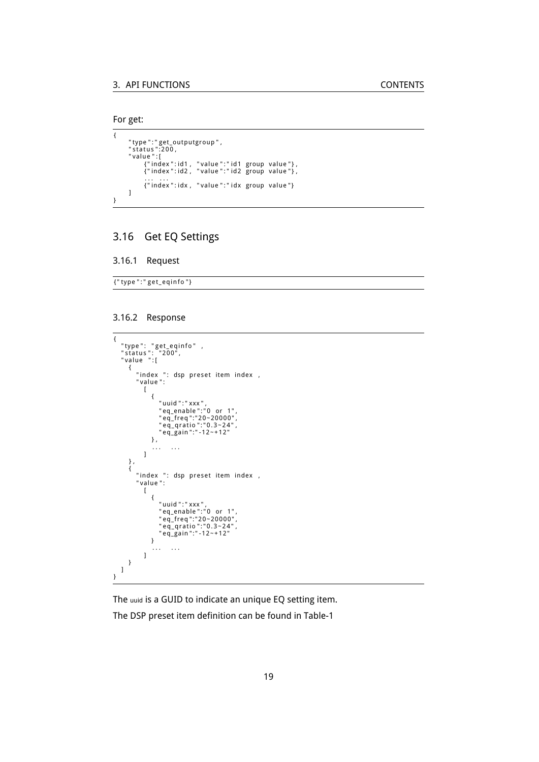```
For get:
```

```
\overline{\mathcal{L}}"type":"get_outputgroup",<br>"status":200,<br>"value":[<br>{"index":id1, "value":"id1 group value"},<br>{"index":id2, "value":"id2 group value"},<br>... ...
                     { " index " : idx , " value " : " id x group value " }
         ]
}
```
### <span id="page-18-0"></span>3.16 Get EQ Settings

#### <span id="page-18-1"></span>3.16.1 Request

{ " type " : " g e t \_ e qi n f o " }

#### <span id="page-18-2"></span>3.16.2 Response

```
{
      "type": "get_eqinfo" ,<br>"status": "200",<br>"value ":[
           {<br>"index ": dsp preset item index ,<br>"value":<br>[
                         {
                                " uuid ":" xxx",<br>"eq_enable ":"0 or 1",<br>"eq_freq":"20~20000",<br>"eq_qratio ":"0.3~24",<br>"eq_gain":"-12~+12"
                        } ,
                         . . . . . .
                   ]
           } ,
{
               " index ": dsp preset item index,
                " value " :
                   \mathbb T{
                                " uuid ":" xxx",<br>"eq_enable ":"0 or 1",<br>"eq_freq":"20~20000",<br>"eq_qratio ":"0.3~24",<br>"eq_gain":"-12~+12"
                      }<br>] ... ...<br>]
        }
    \, \, \,}
```
The uuid is a GUID to indicate an unique EQ setting item.

The DSP preset item definition can be found in Table[-1](#page-16-3)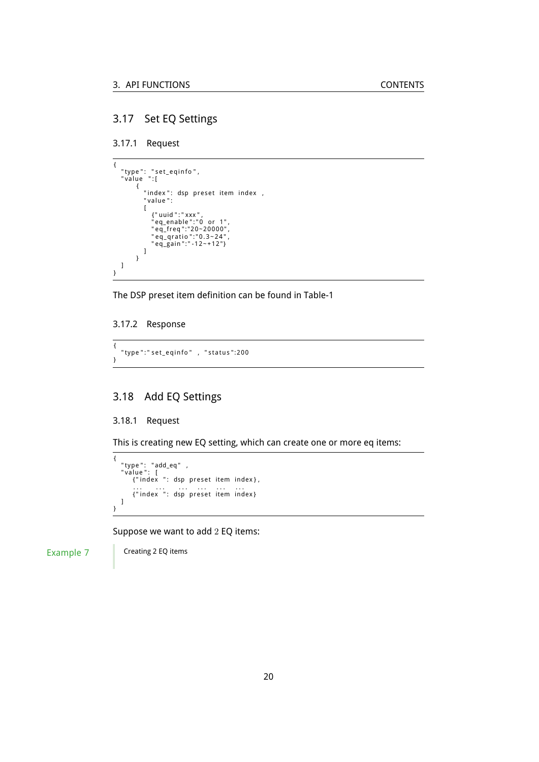### <span id="page-19-0"></span>3.17 Set EQ Settings

<span id="page-19-1"></span>3.17.1 Request

```
{
      "type": "set_eqinfo",<br>"value ":[
                 {<br>"index": dsp preset item index ,<br>"value":<br>[
                           {"uuid ":" xxx",<br>"eq_enable ":"0 or 1",<br>"eq_freq":"20~20000",<br>"eq_qratio ":"0.3~24",<br>"eq_gain ":" -12~+12"}
                 ]
}
    ]
}
```
The DSP preset item definition can be found in Table[-1](#page-16-3)

#### <span id="page-19-2"></span>3.17.2 Response

{ " type ":" set\_eqinfo" , "status":200 }

### <span id="page-19-3"></span>3.18 Add EQ Settings

#### <span id="page-19-4"></span>3.18.1 Request

This is creating new EQ setting, which can create one or more eq items:

```
{
    "type": "add_eq" ,<br>"value": [<br>{"index ": dsp preset item index},
          ... ... ... ... ... ... ...<br>{"index ": dsp preset item index}
   ]
}
```
Suppose we want to add 2 EQ items:

Example 7 Creating 2 EQ items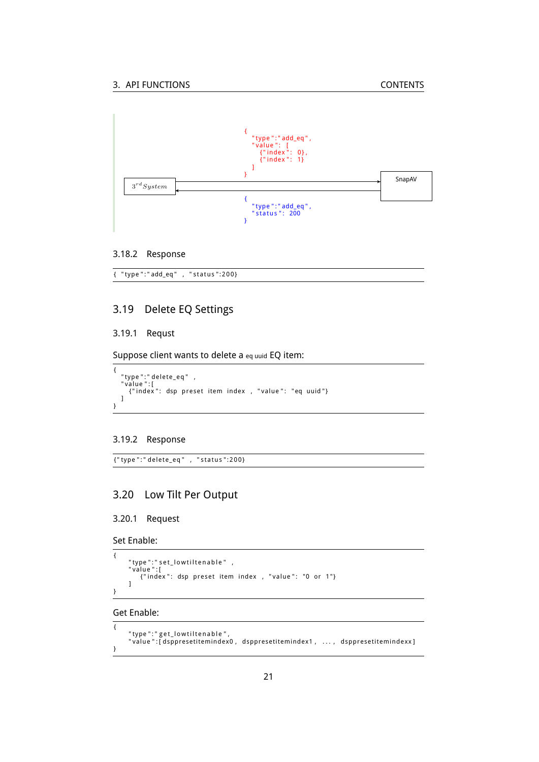

#### <span id="page-20-0"></span>3.18.2 Response

{ "type":"add\_eq" , "status":200}

### <span id="page-20-1"></span>3.19 Delete EQ Settings

#### <span id="page-20-2"></span>3.19.1 Requst

Suppose client wants to delete a eq uuid EQ item:

```
{
   "type ":" delete_eq"   ,<br>"value ":[
     ande ..<br>{"index": dsp preset item index , "value": "eq uuid"}
  \, \, \,}
```
#### <span id="page-20-3"></span>3.19.2 Response

{ " type " : " d el e t e \_ eq " , " s t a t u s ": 2 0 0 }

### <span id="page-20-4"></span>3.20 Low Tilt Per Output

#### <span id="page-20-5"></span>3.20.1 Request

Set Enable:

{

}

```
"type":" set_lowtiltenable"   ,<br>"value ":[
    {\tt "index": }\t{ \tt dsp} \t{ \tt present} \t{ \tt item } \t{ \tt index \t{ \tt , "value": } "0 \tt or 1" } \t{ \tt }]
```
### Get Enable:

```
{
      "type":"get_lowtiltenable",<br>"value":[dsppresetitemindex0, dsppresetitemindex1 , ..., dsppresetitemindexx]
}
```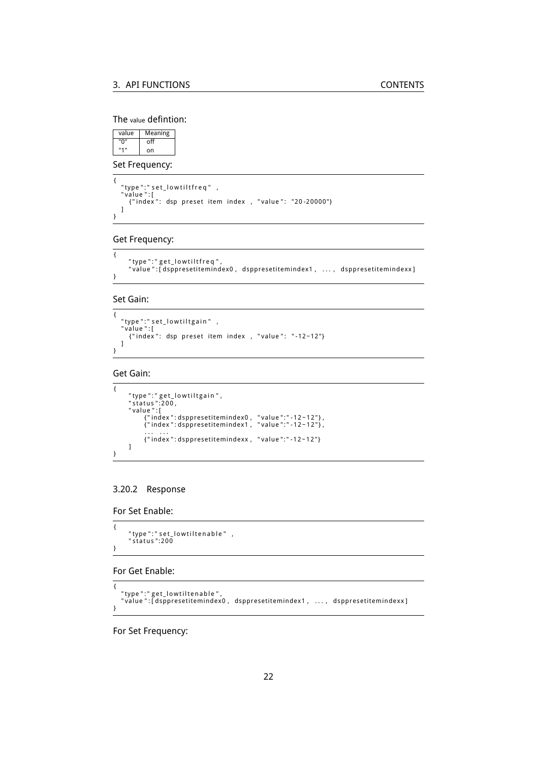#### The value defintion:

value | Meaning "0" off "1" on

Set Frequency:

{ "type":"set\_lowtiltfreq" ,<br>"value":[<br>{"index": dsp preset item index , "value": "20-20000"} ] }

Get Frequency:

```
{
    " type ":" get_lowtiltfreq",
    " value " : [ dspprese ti temindex0 , dspprese ti temindex1 , . . . , dspprese ti temindexx ]
}
```
Set Gain:

```
{
   "type ":" set_lowtiltgain "   ,<br>"value ":[
     {"index": dsp preset item index, "value": "-12~12"}
  \overline{1}}
```
#### Get Gain:

```
{
          "type":"get_lowtiltgain",<br>"status":200,<br>"value":[<br>{"index":dsppresetitemindex0, "value":"-12~12"},<br>{"index":dsppresetitemindex1, "value":"-12~12"},
                    . . . . . .
{ " index " : dspprese ti temindexx , " value ": " - 1 2 ~ 1 2 " }
        ]
}
```
#### <span id="page-21-0"></span>3.20.2 Response

For Set Enable:

```
{
        " type ":" set_low tiltenable "   ,<br>" status ":200
}
```
For Get Enable:

```
{
   "type":"get_lowtiltenable",<br>"value":[dsppresetitemindex0 , dsppresetitemindex1 , ... , dsppresetitemindexx]
}
```
For Set Frequency: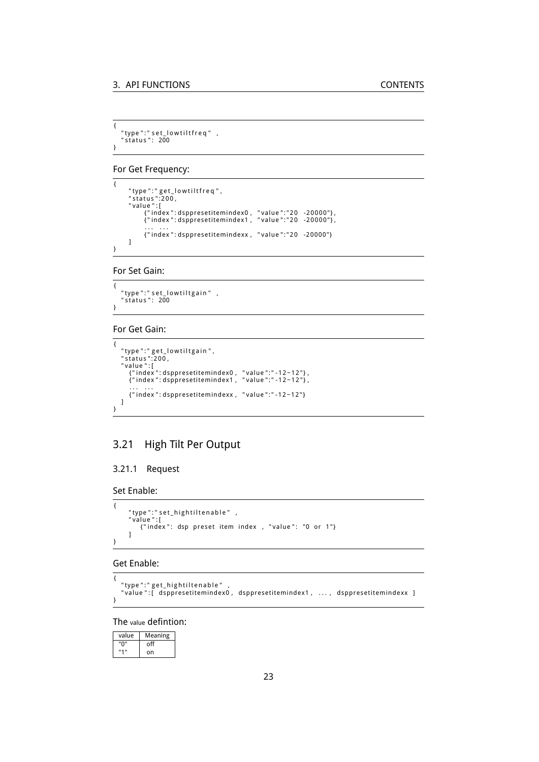```
{
    "type ":" set_lowtiltfreq "   ,<br>"status ":   200
}
```
For Get Frequency:

```
{
        "type":"get_lowtiltfreq",<br>"status":200,<br>"value":[
                {"index":dsppresetitemindex0 , "value":"20 -20000"},<br>{"index":dsppresetitemindex1 , "value":"20 -20000"},
                . . . . . .
{ " index " : dspprese ti temindexx , " value " : " 2 0 -20000" }
       \, \, \,}
```
For Set Gain:

```
{
  " type ": " set_lowtiltgain " ,
  " status ": 200
}
```
#### For Get Gain:

```
{
      "type":"get_lowtiltgain",<br>"status":200,<br>"value":[<br>{"index":dsppresetitemindex0, "value":"-12~12"},<br>{"index":dsppresetitemindex1, "value":"-12~12"},<br>... ...
         { " index " : dspprese ti temindexx , " value ": " - 1 2 ~ 1 2 " }
    ]
}
```
### <span id="page-22-0"></span>3.21 High Tilt Per Output

#### <span id="page-22-1"></span>3.21.1 Request

Set Enable:

```
{
      "type":" set_hightiltenable"   ,<br>"value ":[
        arde ...<br>{"index": dsp preset item index , "value": "0 or 1"}
     ]
}
```
Get Enable:

```
{
   "type":"get_hightiltenable" ,<br>"value":[ dsppresetitemindex0, dsppresetitemindex1, ..., dsppresetitemindexx ]
}
```
The value defintion:

| value | Meaning |
|-------|---------|
| "ח"   | off     |
| "1"   | on      |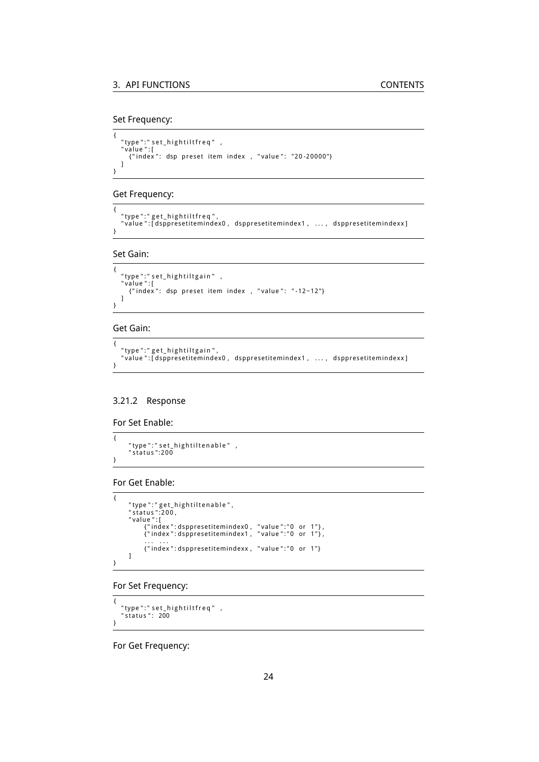#### Set Frequency:

```
{
    "type":"set_hightiltfreq" ,<br>"value":[<br>{"index": dsp preset item index , "value": "20-20000"}
   ]
}
```
#### Get Frequency:

```
{
   "type":"get_hightiltfreq",<br>"value":[dsppresetitemindex0,dsppresetitemindex1, ...,dsppresetitemindexx]
}
```
#### Set Gain:

```
{
   "type ":" set_hightiltgain "   ,<br>"value ":[
     {"index": dsp preset item index, "value": "-12~12"}
  \, \, \,}
```
#### Get Gain:

```
{
   "type":"get_hightiltgain",<br>"value":[dsppresetitemindex0,dsppresetitemindex1, ...,dsppresetitemindexx]
}
```
#### <span id="page-23-0"></span>3.21.2 Response

```
For Set Enable:
```

```
{
       "type ":" set_hightiltenable"   ,<br>"status ":200
}
```
#### For Get Enable:

```
{
         "type":"get_hightiltenable",<br>"status":200,<br>"value":[<br>{"index":dsppresetitemindex0, "value":"0 or 1"},<br>{"index":dsppresetitemindex1, "value":"0 or 1"},
                  ... ...<br>{"index":dsppresetitemindexx, "value":"0 or 1"}
        ]
}
```
#### For Set Frequency:

```
{
    "type":" set_hightiltfreq" ,<br>"status ":  200
}
```
For Get Frequency: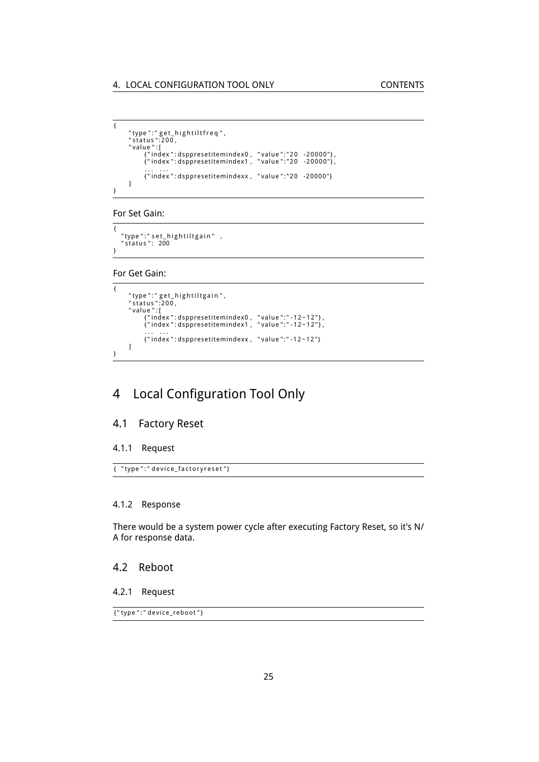```
{
          "type":"get_hightiltfreq",<br>"status":200,<br>"value":[<br>{"index":dsppresetitemindex0, "value":"20 -20000"},<br>{"index":dsppresetitemindex1, "value":"20 -20000"},
                    . . . . . .
{ " index " : dspprese ti temindexx , " value " : " 2 0 -20000" }
         \, \, \,}
```
For Set Gain:

{ "type":"set\_hightiltgain" ,<br>"status": 200 }

For Get Gain:

```
{
          "type":"get_hightiltgain",<br>"status":200,<br>"value":[<br>{"index":dsppresetitemindex0, "value":"-12~12"},<br>{"index":dsppresetitemindex1, "value":"-12~12"},
                    . . . . . .
{ " index " : dspprese ti temindexx , " value ": " - 1 2 ~ 1 2 " }
        ]
}
```
# <span id="page-24-0"></span>4 Local Configuration Tool Only

### <span id="page-24-1"></span>4.1 Factory Reset

#### <span id="page-24-2"></span>4.1.1 Request

{ "type":" device\_factoryreset"}

#### <span id="page-24-3"></span>4.1.2 Response

There would be a system power cycle after executing Factory Reset, so it's N/ A for response data.

#### <span id="page-24-4"></span>4.2 Reboot

<span id="page-24-5"></span>4.2.1 Request

{"type":" device\_reboot"}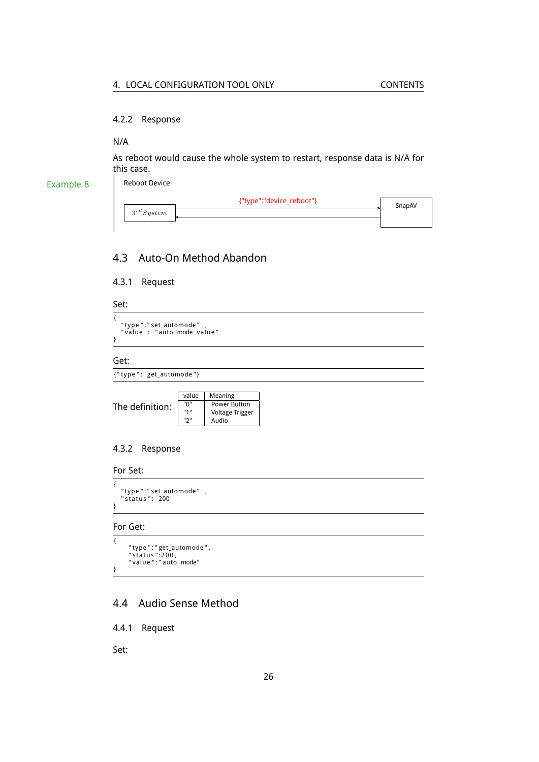#### <span id="page-25-0"></span>4.2.2 Response

#### N/A

Example 8

As reboot would cause the whole system to restart, response data is N/A for this case.

Reboot Device

| {"type":"device_reboot"}<br>$3^{rd} System$ | SnapAV |
|---------------------------------------------|--------|
|                                             |        |

### <span id="page-25-1"></span>4.3 Auto-On Method Abandon

<span id="page-25-2"></span>4.3.1 Request

### Set:

```
{
    "type":"set_automode" ,<br>"value": "auto mode value"
}
```
#### Get:

```
{ " type " : " get_automode " }
```

```
The definition:
                                value Meaning<br>"0" Power B
                                "0" Power Button<br>"1" Voltage Trigge
                                "1" | Voltage Trigger<br>"2" | Audio
                                             Audio
```
#### <span id="page-25-3"></span>4.3.2 Response

#### For Set:

```
{
    "type":"set_automode" ,<br>"status": 200
}
```
#### For Get:

{

}

```
"type ":"get_automode",<br>"status":200,<br>"value":"auto mode"
```
### <span id="page-25-4"></span>4.4 Audio Sense Method

<span id="page-25-5"></span>4.4.1 Request

Set: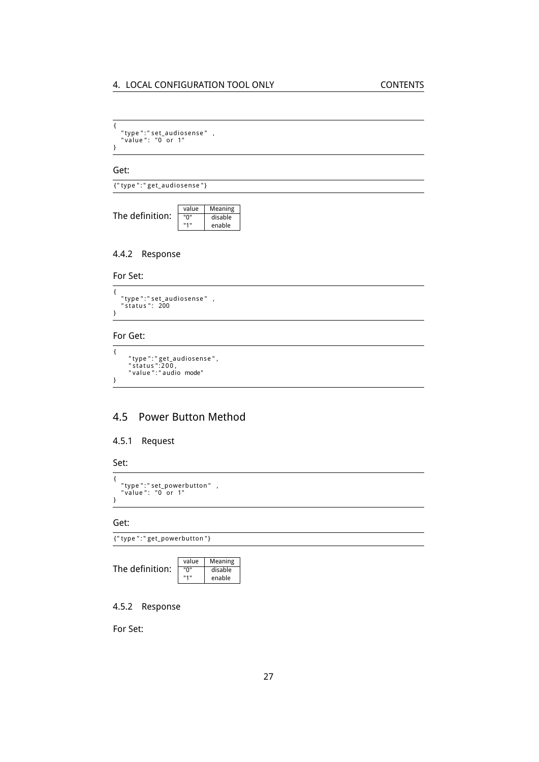{ " type " : " se t \_audiosense " , " value " : "0 or 1" }

Get:

{ " type " : " ge t\_audiosense " }

| The definition: | value | Meaning |
|-----------------|-------|---------|
|                 | "ח"   | disable |
|                 | 1141  | enable  |

#### <span id="page-26-0"></span>4.4.2 Response

For Set:

{ "type ":" set\_audiosense" ,<br>"status ": 200 }

### For Get:

```
\overline{\mathcal{L}}"type":"get_audiosense",<br>"status":200,<br>"value":"audio mode"
}
```
### <span id="page-26-1"></span>4.5 Power Button Method

#### <span id="page-26-2"></span>4.5.1 Request

```
Set:
```

```
{
    "type":"set_powerbutton" ,<br>"value": "0 or 1"
}
```
#### Get:

{ " type " : " get\_powerbutton " }

| The definition: | value | Meaning |
|-----------------|-------|---------|
|                 | "በ"   | disable |
|                 | 1141  | enable  |

#### <span id="page-26-3"></span>4.5.2 Response

For Set: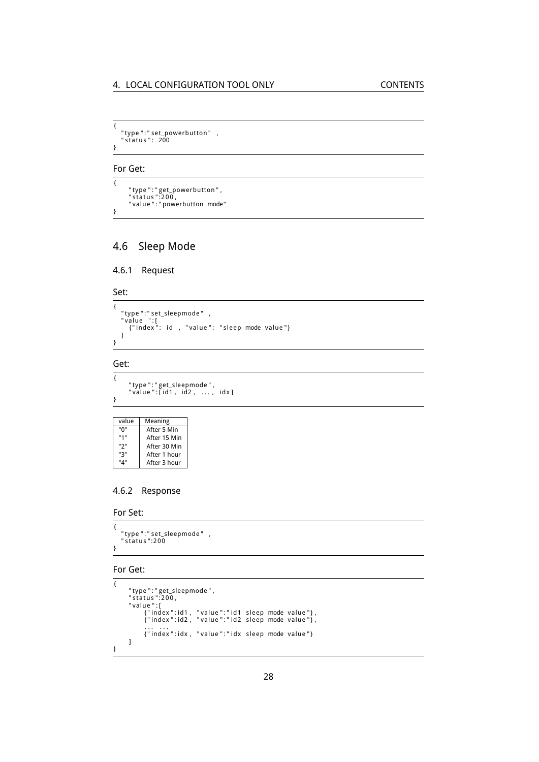{ "type ":" set\_powerbutton" ,<br>" status ": 200 }

For Get:

{ "type":"get\_powerbutton",<br>"status":200,<br>"value":"powerbutton mode" }

### <span id="page-27-0"></span>4.6 Sleep Mode

```
4.6.1 Request
```
Set:

```
{
     "type":"set_sleepmode" ,<br>"value ":[<br>{"index": id , "value": "sleep mode value"}<br>]
}
```
### Get:

{

}

```
"type":"get_sleepmode",<br>"value":[id1, id2, ..., idx]
```

| value | Meaning      |
|-------|--------------|
| "በ"   | After 5 Min  |
| "1"   | After 15 Min |
| "2"   | After 30 Min |
| "ג"   | After 1 hour |
| "מ"   | After 3 hour |

### <span id="page-27-2"></span>4.6.2 Response

For Set:

```
{
    " type ":" set_sleepmode"    ,<br>" status ":200
}
```
#### For Get:

```
{
          "type":"get_sleepmode",<br>"status":200,<br>"value":[ colo,<br>{"index":id1, "value":"id1 sleep mode value"},<br>{"index":id2, "value":"id2 sleep mode value"},<br>... ...
                  :......<br>{"index":idx, "value":"idx sleep mode value"}
        \, \, \,}
```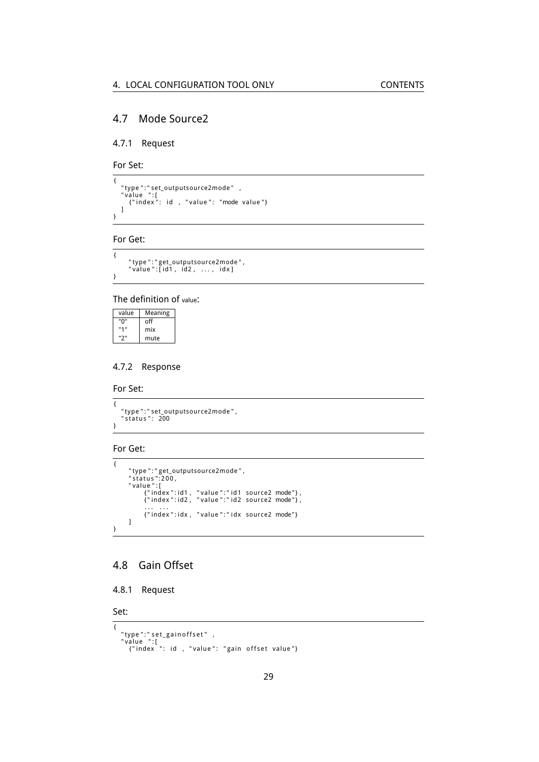### <span id="page-28-0"></span>4.7 Mode Source2

#### <span id="page-28-1"></span>4.7.1 Request

For Set:

{ "type":"set\_outputsource2mode" ,<br>"value ":[<br>{"index": id , "value": "mode value"} ] }

#### For Get:

```
\overline{1}"type ":"get_outputsource2mode",<br>"value ":[id1 , id2 ,  ... ,  idx]
}
```
#### The definition of value:

| value | Meaning |
|-------|---------|
| "በ"   | off     |
| "1"   | mix     |
| "יכ   | mute    |

### <span id="page-28-2"></span>4.7.2 Response

For Set:

{ "type ":"set\_outputsource2mode",<br>"status ": 200 }

#### For Get:

```
{
       "type ":"get_outputsource2mode",<br>"status ":200,<br>"value ":[
               {"index":id1 , "value":"id1 source2 mode"},<br>{"index":id2 , "value":"id2 source2 mode"},
               ... ...<br>{"index":idx, "value":"idx source2 mode"}
      ]
}
```
### <span id="page-28-3"></span>4.8 Gain Offset

```
4.8.1 Request
```
#### Set:

```
{
    "type":"set_gainoffset" ,<br>"value ":[<br>{"index ": id , "value": "gain offset value"}
```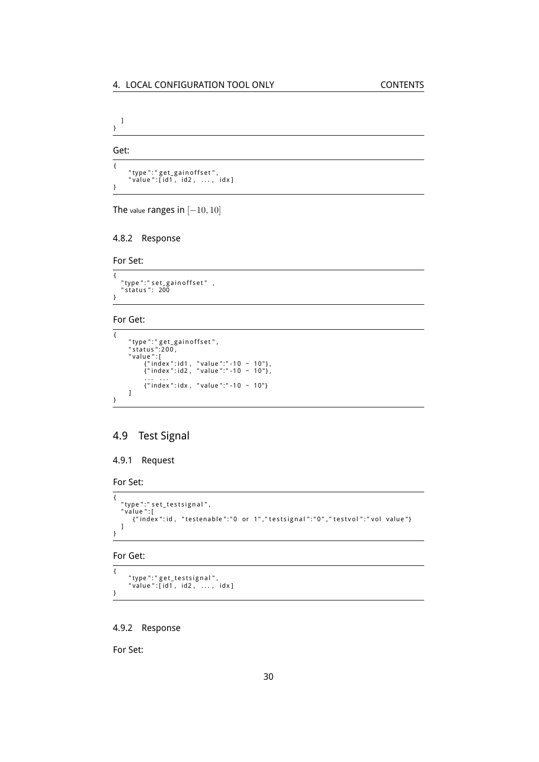] }

Get:

{ "type":"get\_gainoffset",<br>"value":[id1, id2, ..., idx] }

The value ranges in [*−*10*,* 10]

#### <span id="page-29-0"></span>4.8.2 Response

For Set:

 $\overline{1}$ "type":"set\_gainoffset" ,<br>"status": 200 }

#### For Get:

```
{
          "type":"get_gainoffset",<br>"status":200,<br>"value ":[<br>{"index":id1, "value":"-10 ~ 10"},<br>{"index":id2, "value":"-10 ~ 10"},
                    ... ...<br>{"index":idx, "value":"-10 ~ 10"}
         ]
}
```
### <span id="page-29-1"></span>4.9 Test Signal

#### <span id="page-29-2"></span>4.9.1 Request

For Set:

```
{
   "type":"set_testsignal",<br>"value":[<br>{"index":id, "testenable":"0 or 1","testsignal":"0","testvol":"vol value"}
  ]
}
```
For Get:

{ "type":"get\_testsignal",<br>"value":[id1, id2, ..., idx] }

#### <span id="page-29-3"></span>4.9.2 Response

For Set: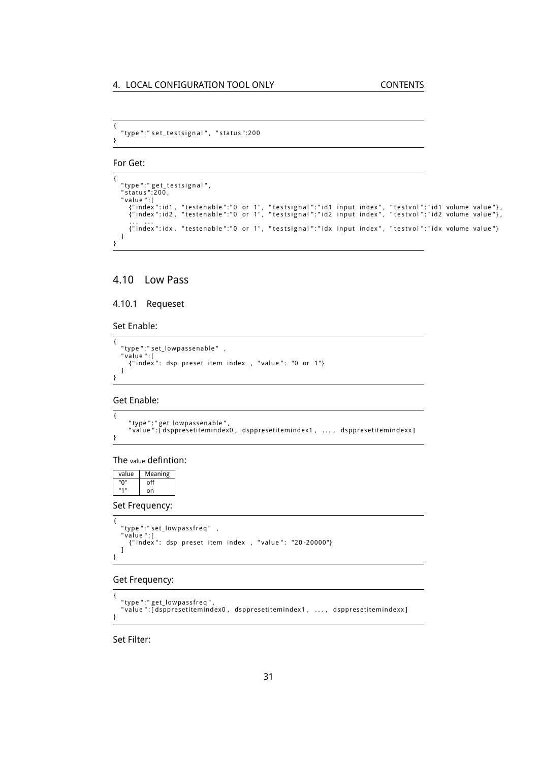```
{
  " type ":" set_testsignal", "status":200
}
```
For Get:

```
{
   "type":"get_testsignal",<br>"status":200,<br>"value":[ ("index":id1, "testenable":"0 or 1", "testsignal":"id1 input index", "testvol":"id1 volume value"},<br>{"index":id1, "testenable":"0 or 1", "testsignal":"id2 input index", "tes
      {"index":idx, "testenable":"0 or 1", "testsignal":"idx input index", "testvol":"idx volume value"}
  ]
}
```
### <span id="page-30-0"></span>4.10 Low Pass

### <span id="page-30-1"></span>4.10.1 Requeset

Set Enable:

```
{
    "type":"set_lowpassenable" ,<br>"value":[<br>{"index": dsp preset item index , "value": "0 or 1"}
   \mathbf{l}}
```
Get Enable:

```
{
      "type":"get_lowpassenable",<br>"value":[dsppresetitemindex0, dsppresetitemindex1 ,  ... ,  dsppresetitemindexx]
}
```
The value defintion:

| value | Meaning |
|-------|---------|
| "በ"   | off     |
| "1"   | on      |

Set Frequency:

```
{
   "type ":" set_lowpassfreq "   ,<br>"value ":[
     anue :<sub>t</sub><br>{"index": dsp preset item index , "value": "20-20000"}
   ]
}
```
#### Get Frequency:

```
{
   "type":"get_lowpassfreq",<br>"value":[dsppresetitemindex0,dsppresetitemindex1, ...,dsppresetitemindexx]
}
```
Set Filter: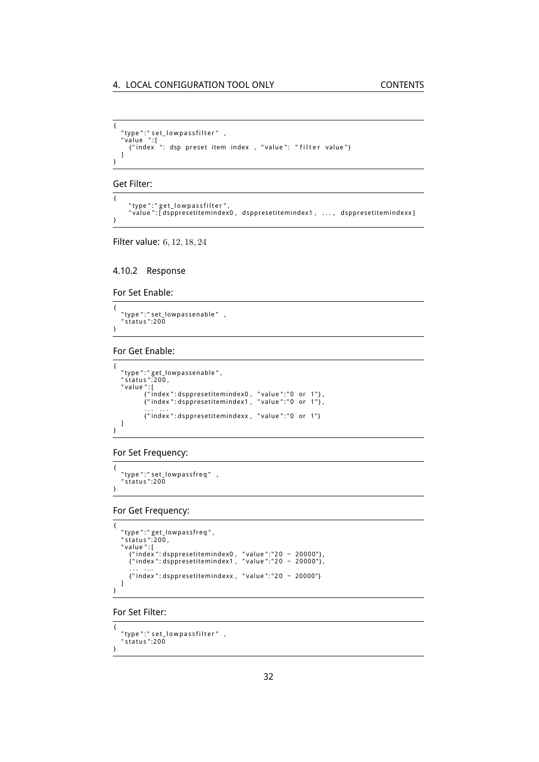```
{
    "type":"set_lowpassfilter" ,<br>"value ":[<br>{"index ": dsp preset item index , "value": "filter value"}
   ]
}
```
Get Filter:

```
{
    " type ": " get_lowpassfilter "
    "
value ":[dsppresetitemindex0, dsppresetitemindex1, ..., dsppresetitemindexx]
}
```
Filter value: 6*,* 12*,* 18*,* 24

#### <span id="page-31-0"></span>4.10.2 Response

For Set Enable:

{ " type ":" set\_lowpassenable" ,<br>" status ":200 }

For Get Enable:

{

}

```
"type ":"get_lowpassenable ",<br>"status ":200,<br>"value ":[<br>{"index ":dsppresetitemindex0, "value":"0 or 1"},<br>{"index":dsppresetitemindex1, "value":"0 or 1"},<br>... ...
              {"index":dsppresetitemindexx, "value":"0 or 1"}
]
```
#### For Set Frequency:

```
{
    " type ":" set_lowpassfreq "   ,<br>" status ":200
}
```
For Get Frequency:

```
{
     "type ":"get_lowpassfreq",<br>"status":200,<br>"value ":[<br>{"index": dsppresetitemindex0, "value":"20 ~ 20000"},<br>{"index": dsppresetitemindex1, "value":"20 ~ 20000"},
          . . . . . .
{ " index " : dspprese ti temindexx , " value " : " 2 0 ~ 20000"}
    ]
}
```
For Set Filter:

```
{
    "type ":" set_lowpassfilter "   ,<br>"status ":200
}
```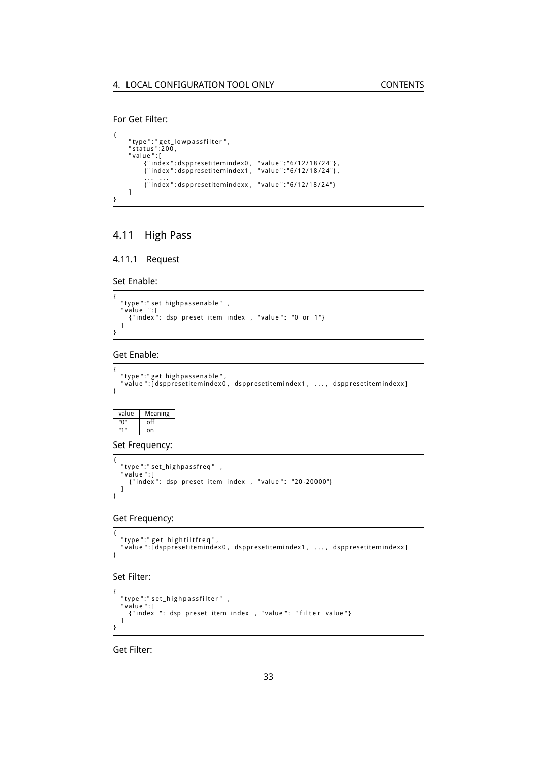```
For Get Filter:
```

```
{
        "type":"get_lowpassfilter",<br>"status":200,<br>"value":[
                {" index ": dsppresetitemindex0 ,   "value ":"6/12/18/24"} ,<br>{" index ": dsppresetitemindex1 ,   "value ":"6/12/18/24"} ,
                ... ...<br>{"index":dsppresetitemindexx , "value":"6/12/18/24"}
       \, \, \,}
```
# <span id="page-32-0"></span>4.11 High Pass

#### <span id="page-32-1"></span>4.11.1 Request

Set Enable:

```
{
    "type":"set_highpassenable" ,<br>"value ":[<br>{"index": dsp preset item index , "value": "0 or 1"}
   \overline{1}}
```
#### Get Enable:

```
{
   "type":"get_highpassenable",<br>"value":[dsppresetitemindex0 , dsppresetitemindex1 , ... , dsppresetitemindexx]
}
```
value Meaning<br>"0" off  $\overline{off}$ "1" on

Set Frequency:

```
{
    "type ":" set_highpassfreq"   ,<br>"value ":[
       ande .<sub>1</sub><br>{"index": dsp preset item index , "value": "20-20000"}
   \begin{array}{c} \end{array}}
```
Get Frequency:

```
{
   "type":"get_hightiltfreq",<br>"value":[dsppresetitemindex0,dsppresetitemindex1, ...,dsppresetitemindexx]
```
#### Set Filter:

}

```
{
  "type ":" set_highpassfilter "  ,<br>"value ":[
    {"index ": dsp preset item index , "value": "filter value"}
  ]
}
```
Get Filter: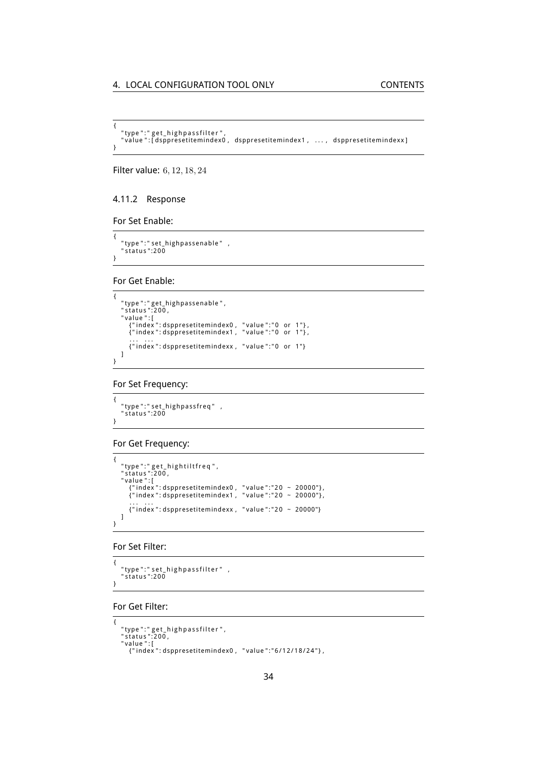```
{
   "type":"get_highpassfilter",<br>"value":[dsppresetitemindex0 , dsppresetitemindex1 , ... , dsppresetitemindexx]
}
```
Filter value: 6*,* 12*,* 18*,* 24

#### <span id="page-33-0"></span>4.11.2 Response

#### For Set Enable:

{ "type ":" set\_highpassenable" ,<br>"status ":200 }

For Get Enable:

```
{
      "type":"get_highpassenable",<br>"status":200,<br>"value":[<br>{"index":dsppresetitemindex0, "value":"0 or 1"},<br>{"index":dsppresetitemindex1, "value":"0 or 1"},<br>... ...
          ... ...<br>{"index":dsppresetitemindexx, "value":"0 or 1"}
     \overline{1}}
```
For Set Frequency:

```
{
    " type ":" set_highpassfreq"   ,<br>" status ":200
```
#### For Get Frequency:

}

```
{
    "type":" get_hightiltfreq",<br>"status":200,<br>"value":[
        {"index":dsppresetitemindex0 , "value":"20 ~ 20000"},<br>{"index":dsppresetitemindex1 , "value":"20 ~ 20000"},
        . . . . . .
{ " index " : dspprese ti temindexx , " value " : " 2 0 ~ 20000"}
   ]
}
```
For Set Filter:

```
{
  " type ":" set_highpassfilter",
  " status ":200
}
```
For Get Filter:

```
{
   "type ":" get_highpassfilter " ,<br>"status ":200 ,<br>"value ":[
      { " index " : dspprese ti temindex0 , " value " : " 6 / 1 2 / 1 8 / 2 4 " } ,
```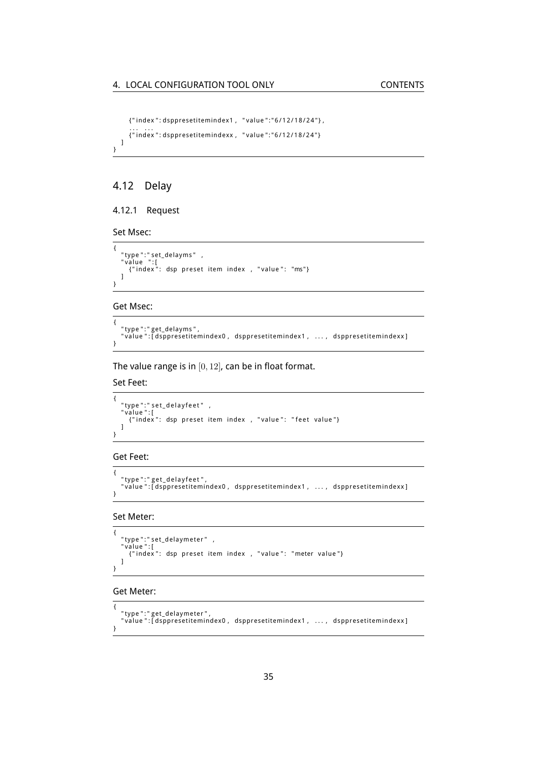```
{ " index " : dspprese ti temindex1 , " value " : " 6 / 1 2 / 1 8 / 2 4 " } ,
   ...  ...<br>{"index":dsppresetitemindexx ,  "value":"6/12/18/24"}
]
```
### <span id="page-34-0"></span>4.12 Delay

}

#### <span id="page-34-1"></span>4.12.1 Request

Set Msec:

```
{
    "type":"set_delayms" ,<br>"value ":[<br>{"index": dsp preset item index , "value": "ms"}
   \mathbf{l}}
```
Get Msec:

```
{
   "type":"get_delayms",<br>"value":[dsppresetitemindex0, dsppresetitemindex1 ,  ... ,  dsppresetitemindexx]
}
```
The value range is in [0*,* 12], can be in float format.

#### Set Feet:

```
{
   "type ":" set_delayfeet "   ,<br>"value ":[
     whee \frac{1}{2} index ": dsp preset item index , "value": "feet value"}
  ]
}
```
#### Get Feet:

```
{
   "type":"get_delayfeet",<br>"value":[dsppresetitemindex0, dsppresetitemindex1 ,  ... ,  dsppresetitemindexx]
}
```
Set Meter:

```
{
   "type ":" set_delaymeter"   ,<br>"value ":[
     {"index": dsp preset item index , "value": "meter value"}
  \overline{1}}
```
#### Get Meter:

```
{
  " type ": " get_delaymeter ",
  "
value":[dsppresetitemindex0, dsppresetitemindex1, ..., dsppresetitemindexx]
}
```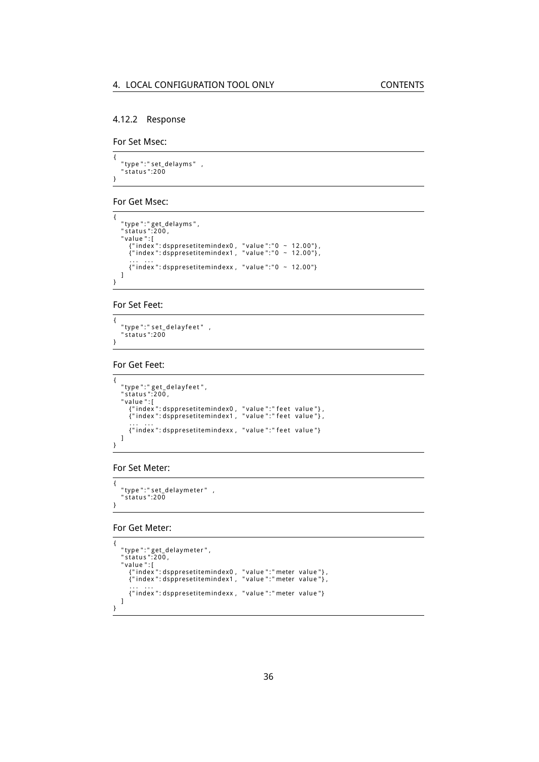#### <span id="page-35-0"></span>4.12.2 Response

For Set Msec:

{ " type ":" set\_delayms" ,<br>" status ":200 }

#### For Get Msec:

```
{
    "type ":" get_delayms " ,<br>" status ":200 ,<br>" value " : [
        {"index":dsppresetitemindex0 , "value":"0 ~ 12.00"},<br>{"index":dsppresetitemindex1 , "value":"0 ~ 12.00"},
        ... ...<br>{"index":dsppresetitemindexx , "value":"0 ~ 12.00"}
   ]
}
```
For Set Feet:

```
{
    "type ":" set_delayfeet "   ,<br>" status ":200
}
```
### For Get Feet:

```
{
    "type ":" get_delayfeet " ,<br>" status ":200 ,<br>" value " :[
        {"index":dsppresetitemindex0 , "value":"feet value"} ,<br>{"index":dsppresetitemindex1 , "value":"feet value"} ,
        ...  ...<br>{"index":dsppresetitemindexx, "value":"feet value"}
   ]
}
```
For Set Meter:

```
{
  " type ": " set_delaymeter " ,
  " status":200}
```
For Get Meter:

```
{
     "type ":" get_delaymeter " ,<br>" status ":200 ,<br>" value " :[
         {"index":dsppresetitemindex0 , "value":"meter value"} ,<br>{"index":dsppresetitemindex1 , "value":"meter value"} ,
         . . . . . .
{ " index " : dspprese ti temindexx , " value " : " meter value " }
   \, \, \,}
```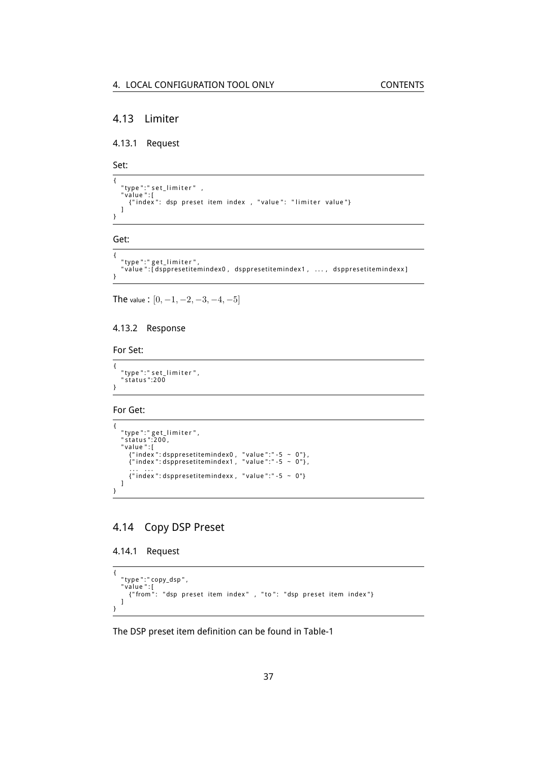### <span id="page-36-0"></span>4.13 Limiter

<span id="page-36-1"></span>4.13.1 Request

Set:

```
{
    "type":"set_limiter" ,<br>"value":[<br>{"index": dsp preset item index , "value": "limiter value"}
   \mathbf{I}}
```
Get:

```
{
   "type":"get_limiter",<br>"value":[dsppresetitemindex0,dsppresetitemindex1, ...,dsppresetitemindexx]
}
```
The value : [0*, −*1*, −*2*, −*3*, −*4*, −*5]

#### <span id="page-36-2"></span>4.13.2 Response

For Set:

```
{
    "type ":" set_limiter " ,<br>"status ":200
}
```
For Get:

```
{
     "type ":" get_limiter",<br>"status":200,<br>"value ":[<br>{"index": dsppresetitemindex0, "value":"-5 ~ 0"},<br>{"index": dsppresetitemindex1, "value":"-5 ~ 0"},<br>... ...
         \{ " index ": dsppresetitemindexx, "value ":" -5 ~ 0" }
    ]
}
```
### <span id="page-36-3"></span>4.14 Copy DSP Preset

<span id="page-36-4"></span>4.14.1 Request

```
{
   "type":"copy_dsp",<br>"value":[<br>{"from": "dsp preset item index" , "to": "dsp preset item index"}
  ]
}
```
The DSP preset item definition can be found in Table[-1](#page-16-3)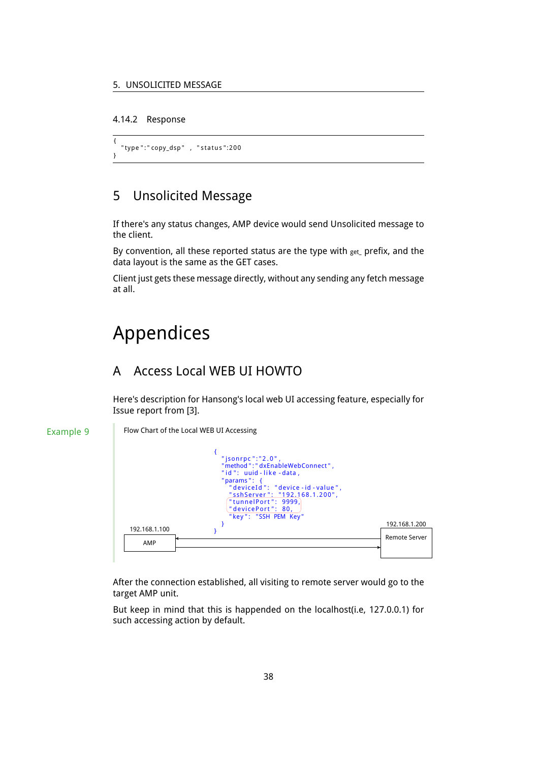#### <span id="page-37-0"></span>4.14.2 Response

```
{
  " type ":" copy_dsp" , "status":200
}
```
# <span id="page-37-1"></span>5 Unsolicited Message

If there's any status changes, AMP device would send Unsolicited message to the client.

By convention, all these reported status are the type with  $get$  prefix, and the data layout is the same as the GET cases.

Client just gets these message directly, without any sending any fetch message at all.

# <span id="page-37-2"></span>Appendices

### <span id="page-37-3"></span>A Access Local WEB UI HOWTO

Here's description for Hansong's local web UI accessing feature, especially for Issue report from [\[3\]](#page-39-0).

#### Example 9

Flow Chart of the Local WEB UI Accessing



After the connection established, all visiting to remote server would go to the target AMP unit.

But keep in mind that this is happended on the localhost(i.e, 127.0.0.1) for such accessing action by default.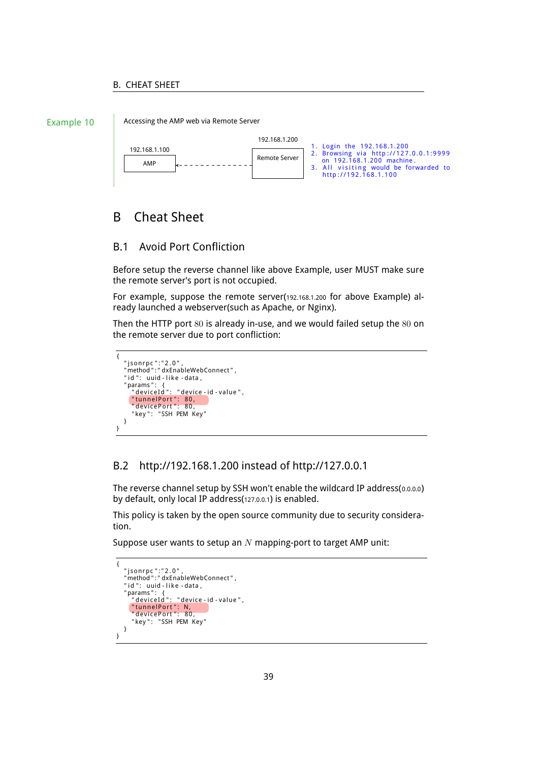#### B. CHEAT SHEET



Accessing the AMP web via Remote Server



# <span id="page-38-0"></span>B Cheat Sheet

### <span id="page-38-1"></span>B.1 Avoid Port Confliction

Before setup the reverse channel like above Example, user MUST make sure the remote server's port is not occupied.

For example, suppose the remote server(192.168.1.200 for above Example) already launched a webserver(such as Apache, or Nginx).

Then the HTTP port 80 is already in-use, and we would failed setup the 80 on the remote server due to port confliction:

```
{
     "jsonrpc":"2.0",<br>"method":"dxEnableWebConnect",<br>"id ": uuid - like -data ,
     "params": {<br>"deviceId": "device-id-value",<br>"tunnelPort": 80,<br>"devicePort": 80,
         " key ": "SSH PEM Key"
    }
}
```
### <span id="page-38-2"></span>B.2 http://192.168.1.200 instead of http://127.0.0.1

The reverse channel setup by SSH won't enable the wildcard IP address(0.0.0.0) by default, only local IP address(127.0.0.1) is enabled.

This policy is taken by the open source community due to security consideration.

Suppose user wants to setup an *N* mapping-port to target AMP unit:

```
{
     "jsonrpc":"2.0",<br>"method":"dxEnableWebConnect",<br>"id ": uuid - like -data ,
     "params": {<br>"deviceId": "device-id-value",
          "tunnelPort": N,<br>"devicePort": 80,<br>"key": "SSH PEM Key"
    }
}
```